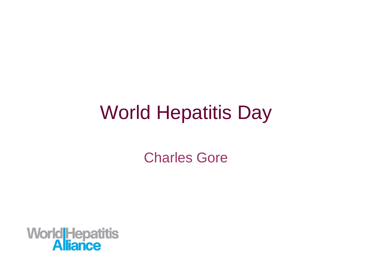Charles Gore

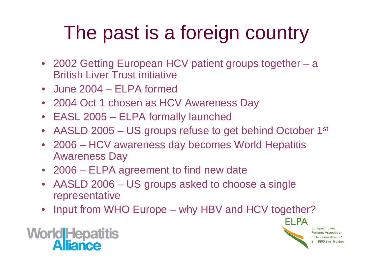# The past is a foreign country

- 2002 Getting European HCV patient groups together a British Liver Trust initiative
- June 2004 ELPA formed
- 2004 Oct 1 chosen as HCV Awareness Day
- EASL 2005 ELPA formally launched
- AASLD 2005 US groups refuse to get behind October 1st
- 2006 HCV awareness day becomes World Hepatitis Awareness Day
- 2006 ELPA agreement to find new date
- AASLD 2006 US groups asked to choose a single representative
- Input from WHO Europe why HBV and HCV together?

ELPA European Liver **Patients Association** F. De Renesselaan, 57 - 3800 Sint-Truider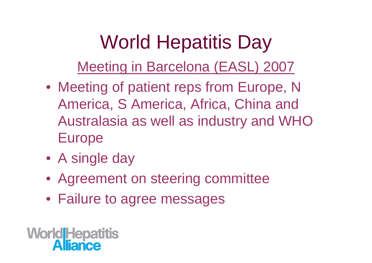Meeting in Barcelona (EASL) 2007

- Meeting of patient reps from Europe, N America, S America, Africa, China and Australasia as well as industry and WHO Europe
- A single day
- Agreement on steering committee
- Failure to agree messages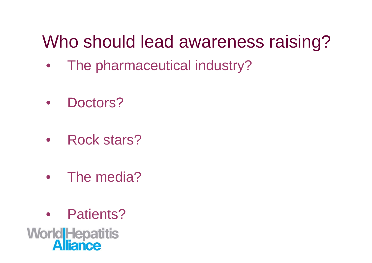#### Who should lead awareness raising?

- The pharmaceutical industry?
- Doctors?
- Rock stars?
- The media?
- Patients?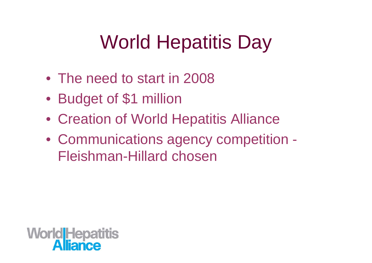- The need to start in 2008
- Budget of \$1 million
- Creation of World Hepatitis Alliance
- Communications agency competition Fleishman-Hillard chosen

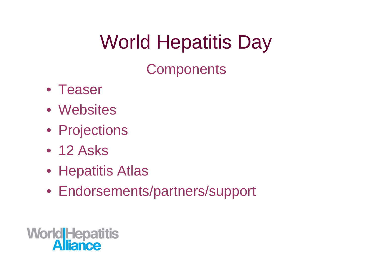**Components** 

- Teaser
- Websites
- Projections
- 12 Asks
- Hepatitis Atlas
- Endorsements/partners/support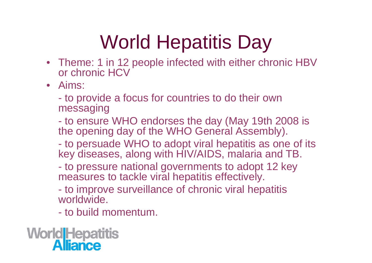- Theme: 1 in 12 people infected with either chronic HBV or chronic HCV
- Aims:

- to provide a focus for countries to do their own messaging

- to ensure WHO endorses the day (May 19th 2008 is the opening day of the WHO General Assembly).

- to persuade WHO to adopt viral hepatitis as one of its key diseases, along with HIV/AIDS, malaria and TB.

- to pressure national governments to adopt 12 key measures to tackle viral hepatitis effectively.

- to improve surveillance of chronic viral hepatitis worldwide.

- to build momentum.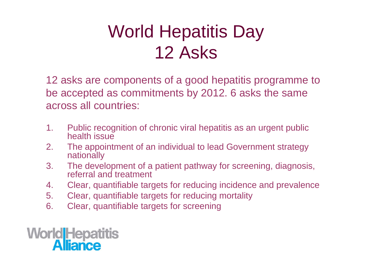### World Hepatitis Day 12 Asks

12 asks are components of a good hepatitis programme to be accepted as commitments by 2012. 6 asks the same across all countries:

- 1. Public recognition of chronic viral hepatitis as an urgent public health issue
- 2. The appointment of an individual to lead Government strategy nationally
- 3. The development of a patient pathway for screening, diagnosis, referral and treatment
- 4. Clear, quantifiable targets for reducing incidence and prevalence
- 5. Clear, quantifiable targets for reducing mortality
- 6. Clear, quantifiable targets for screening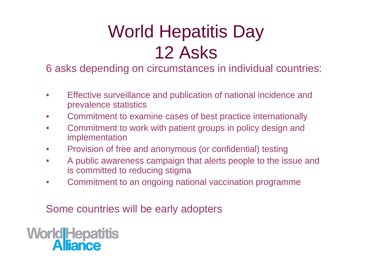### World Hepatitis Day 12 Asks

6 asks depending on circumstances in individual countries:

- Effective surveillance and publication of national incidence and prevalence statistics
- Commitment to examine cases of best practice internationally
- Commitment to work with patient groups in policy design and implementation
- Provision of free and anonymous (or confidential) testing
- A public awareness campaign that alerts people to the issue and is committed to reducing stigma
- Commitment to an ongoing national vaccination programme

Some countries will be early adopters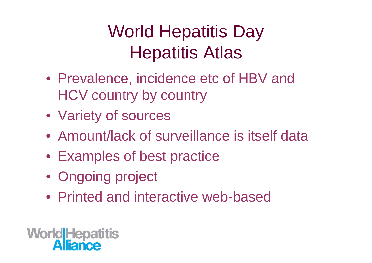### World Hepatitis Day Hepatitis Atlas

- Prevalence, incidence etc of HBV and HCV country by country
- Variety of sources
- Amount/lack of surveillance is itself data
- Examples of best practice
- Ongoing project
- Printed and interactive web-based